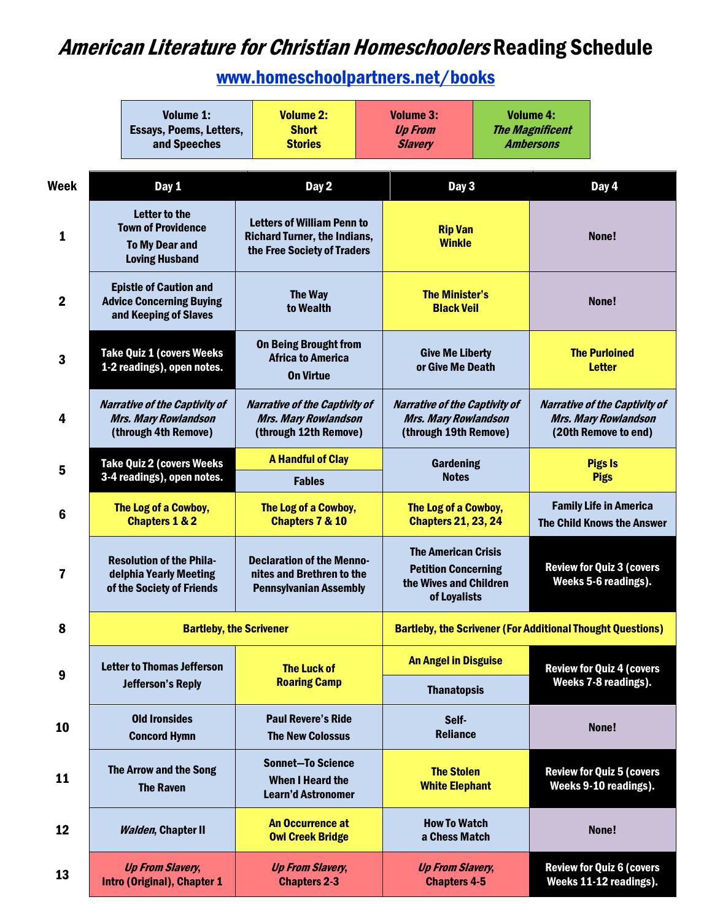## American Literature for Christian Homeschoolers Reading Schedule

[www.homeschoolpartners.net/](http://www.homeschoolpartners.net/)books

|                         |                                | <b>Volume 1:</b><br>Essays, Poems, Letters,<br>and Speeches                                  | <b>Volume 2:</b><br><b>Short</b><br><b>Stories</b>                                                      |                                                                   | <b>Volume 3:</b><br><b>Up From</b><br><b>Slavery</b>                                               |  | <b>Volume 4:</b><br><b>The Magnificent</b><br><b>Ambersons</b>                              |                                                          |
|-------------------------|--------------------------------|----------------------------------------------------------------------------------------------|---------------------------------------------------------------------------------------------------------|-------------------------------------------------------------------|----------------------------------------------------------------------------------------------------|--|---------------------------------------------------------------------------------------------|----------------------------------------------------------|
| Week                    |                                | Day 1                                                                                        | Day 2                                                                                                   |                                                                   | Day 3                                                                                              |  |                                                                                             | Day 4                                                    |
| 1                       |                                | Letter to the<br><b>Town of Providence</b><br><b>To My Dear and</b><br><b>Loving Husband</b> | <b>Letters of William Penn to</b><br><b>Richard Turner, the Indians,</b><br>the Free Society of Traders |                                                                   | <b>Rip Van</b><br><b>Winkle</b>                                                                    |  | None!                                                                                       |                                                          |
| $\overline{2}$          |                                | <b>Epistle of Caution and</b><br><b>Advice Concerning Buying</b><br>and Keeping of Slaves    | <b>The Way</b><br>to Wealth                                                                             |                                                                   | <b>The Minister's</b><br><b>Black Veil</b>                                                         |  | None!                                                                                       |                                                          |
| $\mathbf{3}$            |                                | <b>Take Quiz 1 (covers Weeks)</b><br>1-2 readings), open notes.                              | <b>On Being Brought from</b><br><b>Africa to America</b><br><b>On Virtue</b>                            |                                                                   | <b>Give Me Liberty</b><br>or Give Me Death                                                         |  | <b>The Purloined</b><br><b>Letter</b>                                                       |                                                          |
| $\overline{\mathbf{4}}$ |                                | <b>Narrative of the Captivity of</b><br><b>Mrs. Mary Rowlandson</b><br>(through 4th Remove)  | <b>Narrative of the Captivity of</b><br><b>Mrs. Mary Rowlandson</b><br>(through 12th Remove)            |                                                                   | <b>Narrative of the Captivity of</b><br><b>Mrs. Mary Rowlandson</b><br>(through 19th Remove)       |  | <b>Narrative of the Captivity of</b><br><b>Mrs. Mary Rowlandson</b><br>(20th Remove to end) |                                                          |
| 5                       |                                | <b>Take Quiz 2 (covers Weeks</b><br>3-4 readings), open notes.                               | <b>A Handful of Clay</b><br><b>Fables</b>                                                               |                                                                   | <b>Gardening</b><br><b>Notes</b>                                                                   |  |                                                                                             | <b>Pigs Is</b><br><b>Pigs</b>                            |
| 6                       |                                | The Log of a Cowboy,<br><b>Chapters 1 &amp; 2</b>                                            | The Log of a Cowboy,<br><b>Chapters 7 &amp; 10</b>                                                      |                                                                   | The Log of a Cowboy,<br><b>Chapters 21, 23, 24</b>                                                 |  | <b>Family Life in America</b><br><b>The Child Knows the Answer</b>                          |                                                          |
| 7                       |                                | <b>Resolution of the Phila-</b><br>delphia Yearly Meeting<br>of the Society of Friends       | <b>Declaration of the Menno-</b><br>nites and Brethren to the<br><b>Pennsylvanian Assembly</b>          |                                                                   | <b>The American Crisis</b><br><b>Petition Concerning</b><br>the Wives and Children<br>of Loyalists |  |                                                                                             | <b>Review for Quiz 3 (covers</b><br>Weeks 5-6 readings). |
| 8                       | <b>Bartleby, the Scrivener</b> |                                                                                              |                                                                                                         | <b>Bartleby, the Scrivener (For Additional Thought Questions)</b> |                                                                                                    |  |                                                                                             |                                                          |
| 9                       |                                | <b>Letter to Thomas Jefferson</b><br><b>Jefferson's Reply</b>                                | <b>The Luck of</b><br><b>Roaring Camp</b>                                                               |                                                                   | <b>An Angel in Disguise</b>                                                                        |  | <b>Review for Quiz 4 (covers)</b>                                                           |                                                          |
|                         |                                |                                                                                              |                                                                                                         |                                                                   | <b>Thanatopsis</b>                                                                                 |  |                                                                                             | Weeks 7-8 readings).                                     |
| 10                      |                                | <b>Old Ironsides</b><br><b>Concord Hymn</b>                                                  | <b>Paul Revere's Ride</b><br><b>The New Colossus</b>                                                    |                                                                   | Self-<br><b>Reliance</b>                                                                           |  |                                                                                             | None!                                                    |
| 11                      |                                | The Arrow and the Song<br><b>The Raven</b>                                                   | <b>Sonnet-To Science</b><br><b>When I Heard the</b><br><b>Learn'd Astronomer</b>                        |                                                                   | <b>The Stolen</b><br><b>White Elephant</b>                                                         |  | <b>Review for Quiz 5 (covers)</b><br>Weeks 9-10 readings).                                  |                                                          |
| 12                      |                                | <b>Walden, Chapter II</b>                                                                    | An Occurrence at<br><b>Owl Creek Bridge</b>                                                             |                                                                   | <b>How To Watch</b><br>a Chess Match                                                               |  |                                                                                             | None!                                                    |
| 13                      |                                | <b>Up From Slavery,</b><br><b>Intro (Original), Chapter 1</b>                                | <b>Up From Slavery,</b><br><b>Chapters 2-3</b>                                                          |                                                                   | <b>Up From Slavery,</b><br><b>Chapters 4-5</b>                                                     |  | <b>Review for Quiz 6 (covers</b><br>Weeks 11-12 readings).                                  |                                                          |